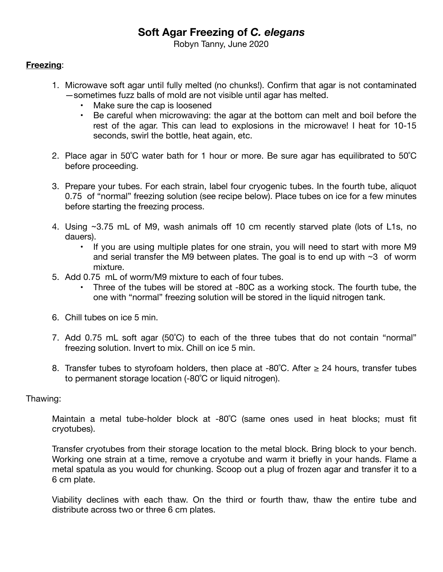# **Soft Agar Freezing of** *C. elegans*

Robyn Tanny, June 2020

### **Freezing**:

- 1. Microwave soft agar until fully melted (no chunks!). Confirm that agar is not contaminated —sometimes fuzz balls of mold are not visible until agar has melted.
	- Make sure the cap is loosened
	- Be careful when microwaving: the agar at the bottom can melt and boil before the rest of the agar. This can lead to explosions in the microwave! I heat for 10-15 seconds, swirl the bottle, heat again, etc.
- 2. Place agar in 50˚C water bath for 1 hour or more. Be sure agar has equilibrated to 50˚C before proceeding.
- 3. Prepare your tubes. For each strain, label four cryogenic tubes. In the fourth tube, aliquot 0.75 of "normal" freezing solution (see recipe below). Place tubes on ice for a few minutes before starting the freezing process.
- 4. Using ~3.75 mL of M9, wash animals off 10 cm recently starved plate (lots of L1s, no dauers).
	- If you are using multiple plates for one strain, you will need to start with more M9 and serial transfer the M9 between plates. The goal is to end up with  $\sim$ 3 of worm mixture.
- 5. Add 0.75 mL of worm/M9 mixture to each of four tubes.
	- Three of the tubes will be stored at -80C as a working stock. The fourth tube, the one with "normal" freezing solution will be stored in the liquid nitrogen tank.
- 6. Chill tubes on ice 5 min.
- 7. Add 0.75 mL soft agar (50˚C) to each of the three tubes that do not contain "normal" freezing solution. Invert to mix. Chill on ice 5 min.
- 8. Transfer tubes to styrofoam holders, then place at -80°C. After  $\geq$  24 hours, transfer tubes to permanent storage location (-80˚C or liquid nitrogen).

#### Thawing:

Maintain a metal tube-holder block at -80˚C (same ones used in heat blocks; must fit cryotubes).

Transfer cryotubes from their storage location to the metal block. Bring block to your bench. Working one strain at a time, remove a cryotube and warm it briefly in your hands. Flame a metal spatula as you would for chunking. Scoop out a plug of frozen agar and transfer it to a 6 cm plate.

Viability declines with each thaw. On the third or fourth thaw, thaw the entire tube and distribute across two or three 6 cm plates.